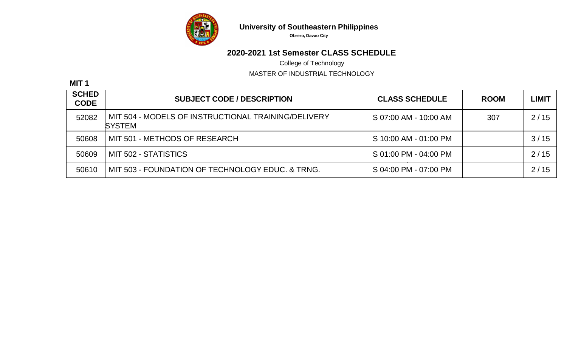

**Obrero, Davao City**

# **2020-2021 1st Semester CLASS SCHEDULE**

College of Technology

MASTER OF INDUSTRIAL TECHNOLOGY

**MIT 1**

| <b>SCHED</b><br><b>CODE</b> | <b>SUBJECT CODE / DESCRIPTION</b>                                     | <b>CLASS SCHEDULE</b> | <b>ROOM</b> | LIMIT |
|-----------------------------|-----------------------------------------------------------------------|-----------------------|-------------|-------|
| 52082                       | MIT 504 - MODELS OF INSTRUCTIONAL TRAINING/DELIVERY<br><b>ISYSTEM</b> | S 07:00 AM - 10:00 AM | 307         | 2/15  |
| 50608                       | MIT 501 - METHODS OF RESEARCH                                         | S 10:00 AM - 01:00 PM |             | 3/15  |
| 50609                       | MIT 502 - STATISTICS                                                  | S 01:00 PM - 04:00 PM |             | 2/15  |
| 50610                       | MIT 503 - FOUNDATION OF TECHNOLOGY EDUC. & TRNG.                      | S 04:00 PM - 07:00 PM |             | 2/15  |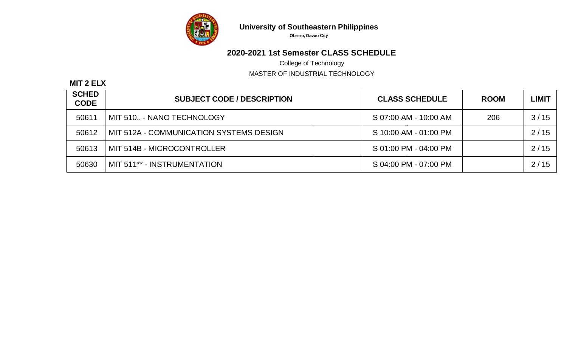

**Obrero, Davao City**

# **2020-2021 1st Semester CLASS SCHEDULE**

College of Technology

MASTER OF INDUSTRIAL TECHNOLOGY

#### **MIT 2 ELX**

| <b>SCHED</b><br><b>CODE</b> | <b>SUBJECT CODE / DESCRIPTION</b>       | <b>CLASS SCHEDULE</b> | <b>ROOM</b> | <b>LIMIT</b> |
|-----------------------------|-----------------------------------------|-----------------------|-------------|--------------|
| 50611                       | MIT 510 - NANO TECHNOLOGY               | S 07:00 AM - 10:00 AM | 206         | 3/15         |
| 50612                       | MIT 512A - COMMUNICATION SYSTEMS DESIGN | S 10:00 AM - 01:00 PM |             | 2/15         |
| 50613                       | MIT 514B - MICROCONTROLLER              | S 01:00 PM - 04:00 PM |             | 2/15         |
| 50630                       | MIT 511** - INSTRUMENTATION             | S 04:00 PM - 07:00 PM |             | 2/15         |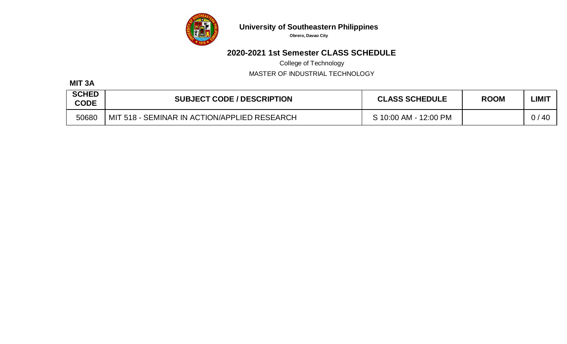

**Obrero, Davao City**

## **2020-2021 1st Semester CLASS SCHEDULE**

College of Technology

MASTER OF INDUSTRIAL TECHNOLOGY

#### **MIT 3A**

| <b>SCHED</b><br><b>CODE</b> | <b>SUBJECT CODE / DESCRIPTION</b>            | <b>CLASS SCHEDULE</b> | <b>ROOM</b> | ∟IMI <sup>-</sup> |
|-----------------------------|----------------------------------------------|-----------------------|-------------|-------------------|
| 50680                       | MIT 518 - SEMINAR IN ACTION/APPLIED RESEARCH | S 10:00 AM - 12:00 PM |             | 0/<br>-40         |